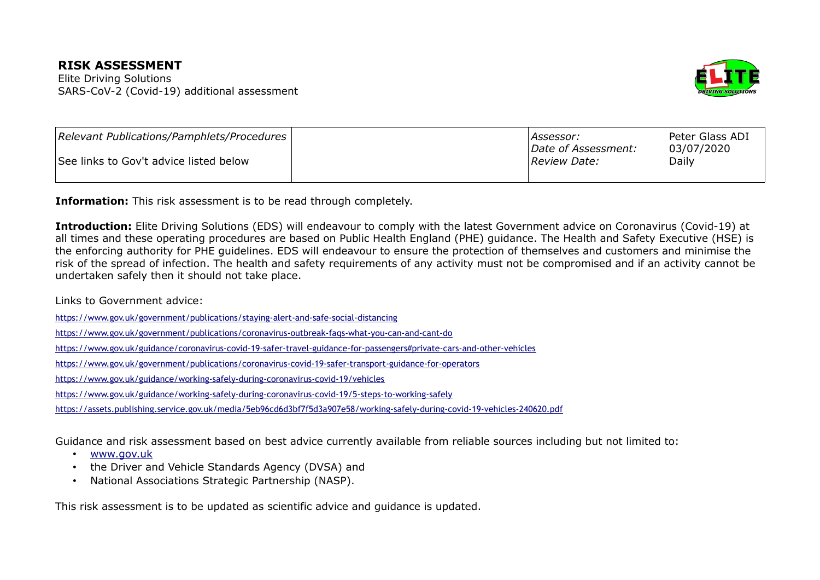## **RISK ASSESSMENT**

Elite Driving Solutions SARS-CoV-2 (Covid-19) additional assessment



| Relevant Publications/Pamphlets/Procedures | Assessor:                            | Peter Glass ADI     |
|--------------------------------------------|--------------------------------------|---------------------|
| See links to Gov't advice listed below     | Date of Assessment:<br> Review Date: | 03/07/2020<br>Daily |
|                                            |                                      |                     |

**Information:** This risk assessment is to be read through completely.

**Introduction:** Elite Driving Solutions (EDS) will endeavour to comply with the latest Government advice on Coronavirus (Covid-19) at all times and these operating procedures are based on Public Health England (PHE) guidance. The Health and Safety Executive (HSE) is the enforcing authority for PHE guidelines. EDS will endeavour to ensure the protection of themselves and customers and minimise the risk of the spread of infection. The health and safety requirements of any activity must not be compromised and if an activity cannot be undertaken safely then it should not take place.

Links to Government advice:

<https://www.gov.uk/government/publications/staying-alert-and-safe-social-distancing>

[https://www.gov.uk/government/publications/coronavirus-outbreak-faqs-what-you-can-and-cant-do](https://www.gov.uk/government/publications/coronavirus-outbreak-faqs-what-you-can-and-cant-do/coronavirus-outbreak-faqs-what-you-can-and-cantdo)

<https://www.gov.uk/guidance/coronavirus-covid-19-safer-travel-guidance-for-passengers#private-cars-and-other-vehicles>

<https://www.gov.uk/government/publications/coronavirus-covid-19-safer-transport-guidance-for-operators>

<https://www.gov.uk/guidance/working-safely-during-coronavirus-covid-19/vehicles>

<https://www.gov.uk/guidance/working-safely-during-coronavirus-covid-19/5-steps-to-working-safely>

<https://assets.publishing.service.gov.uk/media/5eb96cd6d3bf7f5d3a907e58/working-safely-during-covid-19-vehicles-240620.pdf>

Guidance and risk assessment based on best advice currently available from reliable sources including but not limited to:

- [www.gov.uk](http://www.gov.uk/)
- the Driver and Vehicle Standards Agency (DVSA) and
- National Associations Strategic Partnership (NASP).

This risk assessment is to be updated as scientific advice and guidance is updated.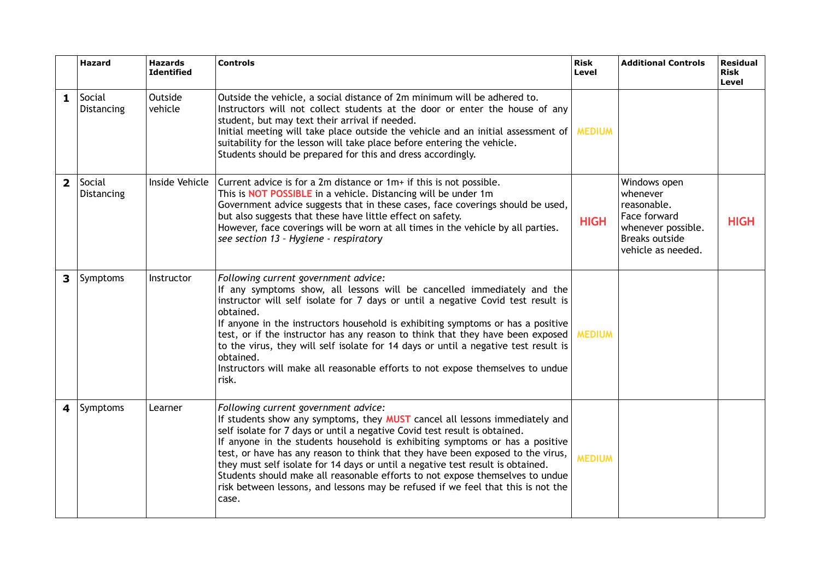|                         | <b>Hazard</b>        | <b>Hazards</b><br><b>Identified</b> | <b>Controls</b>                                                                                                                                                                                                                                                                                                                                                                                                                                                                                                                                                                                                                       | <b>Risk</b><br>Level | <b>Additional Controls</b>                                                                                                   | <b>Residual</b><br><b>Risk</b><br>Level |
|-------------------------|----------------------|-------------------------------------|---------------------------------------------------------------------------------------------------------------------------------------------------------------------------------------------------------------------------------------------------------------------------------------------------------------------------------------------------------------------------------------------------------------------------------------------------------------------------------------------------------------------------------------------------------------------------------------------------------------------------------------|----------------------|------------------------------------------------------------------------------------------------------------------------------|-----------------------------------------|
| 1                       | Social<br>Distancing | Outside<br>vehicle                  | Outside the vehicle, a social distance of 2m minimum will be adhered to.<br>Instructors will not collect students at the door or enter the house of any<br>student, but may text their arrival if needed.<br>Initial meeting will take place outside the vehicle and an initial assessment of MEDIUM<br>suitability for the lesson will take place before entering the vehicle.<br>Students should be prepared for this and dress accordingly.                                                                                                                                                                                        |                      |                                                                                                                              |                                         |
| $\overline{2}$          | Social<br>Distancing | Inside Vehicle                      | Current advice is for a 2m distance or 1m+ if this is not possible.<br>This is <b>NOT POSSIBLE</b> in a vehicle. Distancing will be under 1m<br>Government advice suggests that in these cases, face coverings should be used,<br>but also suggests that these have little effect on safety.<br>However, face coverings will be worn at all times in the vehicle by all parties.<br>see section 13 - Hygiene - respiratory                                                                                                                                                                                                            | <b>HIGH</b>          | Windows open<br>whenever<br>reasonable.<br>Face forward<br>whenever possible.<br><b>Breaks outside</b><br>vehicle as needed. | <b>HIGH</b>                             |
| $\overline{\mathbf{3}}$ | Symptoms             | Instructor                          | Following current government advice:<br>If any symptoms show, all lessons will be cancelled immediately and the<br>instructor will self isolate for 7 days or until a negative Covid test result is<br>obtained.<br>If anyone in the instructors household is exhibiting symptoms or has a positive<br>test, or if the instructor has any reason to think that they have been exposed<br>to the virus, they will self isolate for 14 days or until a negative test result is<br>obtained.<br>Instructors will make all reasonable efforts to not expose themselves to undue<br>risk.                                                  | <b>MEDIUM</b>        |                                                                                                                              |                                         |
| 4                       | Symptoms             | Learner                             | Following current government advice:<br>If students show any symptoms, they MUST cancel all lessons immediately and<br>self isolate for 7 days or until a negative Covid test result is obtained.<br>If anyone in the students household is exhibiting symptoms or has a positive<br>test, or have has any reason to think that they have been exposed to the virus,<br>they must self isolate for 14 days or until a negative test result is obtained.<br>Students should make all reasonable efforts to not expose themselves to undue<br>risk between lessons, and lessons may be refused if we feel that this is not the<br>case. | <b>MEDIUM</b>        |                                                                                                                              |                                         |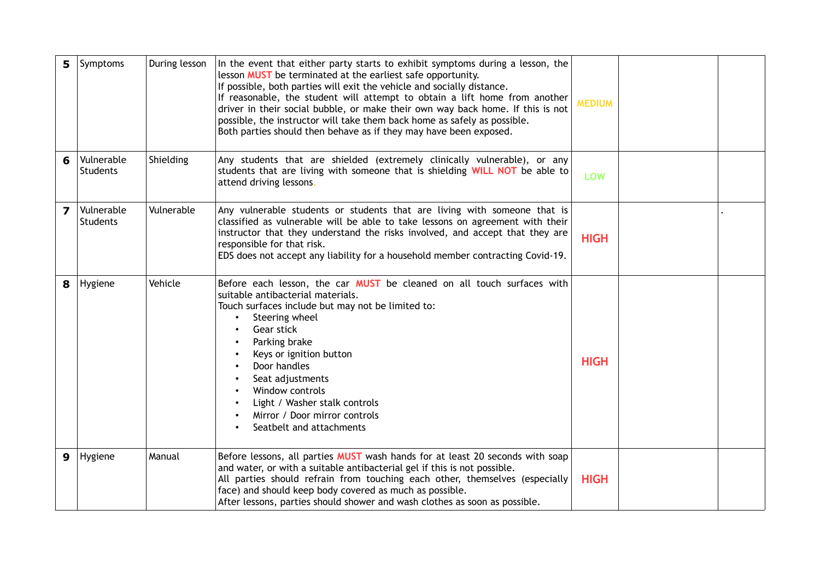| 5 | Symptoms                      | During lesson | In the event that either party starts to exhibit symptoms during a lesson, the<br>lesson <b>MUST</b> be terminated at the earliest safe opportunity.<br>If possible, both parties will exit the vehicle and socially distance.<br>If reasonable, the student will attempt to obtain a lift home from another<br>driver in their social bubble, or make their own way back home. If this is not<br>possible, the instructor will take them back home as safely as possible.<br>Both parties should then behave as if they may have been exposed. | <b>MEDIUM</b> |  |
|---|-------------------------------|---------------|-------------------------------------------------------------------------------------------------------------------------------------------------------------------------------------------------------------------------------------------------------------------------------------------------------------------------------------------------------------------------------------------------------------------------------------------------------------------------------------------------------------------------------------------------|---------------|--|
| 6 | Vulnerable<br><b>Students</b> | Shielding     | Any students that are shielded (extremely clinically vulnerable), or any<br>students that are living with someone that is shielding WILL NOT be able to<br>attend driving lessons.                                                                                                                                                                                                                                                                                                                                                              | <b>LOW</b>    |  |
| 7 | Vulnerable<br><b>Students</b> | Vulnerable    | Any vulnerable students or students that are living with someone that is<br>classified as vulnerable will be able to take lessons on agreement with their<br>instructor that they understand the risks involved, and accept that they are<br>responsible for that risk.<br>EDS does not accept any liability for a household member contracting Covid-19.                                                                                                                                                                                       | <b>HIGH</b>   |  |
| 8 | Hygiene                       | Vehicle       | Before each lesson, the car <b>MUST</b> be cleaned on all touch surfaces with<br>suitable antibacterial materials.<br>Touch surfaces include but may not be limited to:<br>Steering wheel<br>Gear stick<br>Parking brake<br>Keys or ignition button<br>Door handles<br>Seat adjustments<br>Window controls<br>Light / Washer stalk controls<br>Mirror / Door mirror controls<br>Seatbelt and attachments                                                                                                                                        | <b>HIGH</b>   |  |
| 9 | Hygiene                       | Manual        | Before lessons, all parties MUST wash hands for at least 20 seconds with soap<br>and water, or with a suitable antibacterial gel if this is not possible.<br>All parties should refrain from touching each other, themselves (especially<br>face) and should keep body covered as much as possible.<br>After lessons, parties should shower and wash clothes as soon as possible.                                                                                                                                                               | <b>HIGH</b>   |  |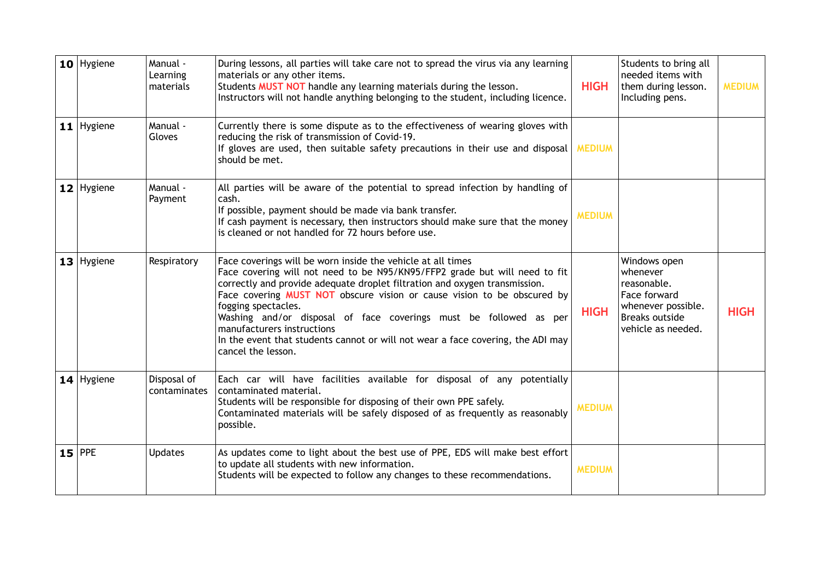| $10$ Hygiene | Manual -<br>Learning<br>materials | During lessons, all parties will take care not to spread the virus via any learning<br>materials or any other items.<br>Students MUST NOT handle any learning materials during the lesson.<br><b>HIGH</b><br>Instructors will not handle anything belonging to the student, including licence.                                                                                                                                                                                                                                        |               | Students to bring all<br>needed items with<br>them during lesson.<br>Including pens.                                         | <b>MEDIUM</b> |
|--------------|-----------------------------------|---------------------------------------------------------------------------------------------------------------------------------------------------------------------------------------------------------------------------------------------------------------------------------------------------------------------------------------------------------------------------------------------------------------------------------------------------------------------------------------------------------------------------------------|---------------|------------------------------------------------------------------------------------------------------------------------------|---------------|
| $11$ Hygiene | Manual -<br>Gloves                | Currently there is some dispute as to the effectiveness of wearing gloves with<br>reducing the risk of transmission of Covid-19.<br>If gloves are used, then suitable safety precautions in their use and disposal MEDIUM<br>should be met.                                                                                                                                                                                                                                                                                           |               |                                                                                                                              |               |
| $12$ Hygiene | Manual -<br>Payment               | All parties will be aware of the potential to spread infection by handling of<br>cash.<br>If possible, payment should be made via bank transfer.<br>If cash payment is necessary, then instructors should make sure that the money<br>is cleaned or not handled for 72 hours before use.                                                                                                                                                                                                                                              | <b>MEDIUM</b> |                                                                                                                              |               |
| $13$ Hygiene | Respiratory                       | Face coverings will be worn inside the vehicle at all times<br>Face covering will not need to be N95/KN95/FFP2 grade but will need to fit<br>correctly and provide adequate droplet filtration and oxygen transmission.<br>Face covering MUST NOT obscure vision or cause vision to be obscured by<br>fogging spectacles.<br>Washing and/or disposal of face coverings must be followed as per<br>manufacturers instructions<br>In the event that students cannot or will not wear a face covering, the ADI may<br>cancel the lesson. | <b>HIGH</b>   | Windows open<br>whenever<br>reasonable.<br>Face forward<br>whenever possible.<br><b>Breaks outside</b><br>vehicle as needed. | <b>HIGH</b>   |
| $14$ Hygiene | Disposal of<br>contaminates       | Each car will have facilities available for disposal of any potentially<br>contaminated material.<br>Students will be responsible for disposing of their own PPE safely.<br>Contaminated materials will be safely disposed of as frequently as reasonably<br>possible.                                                                                                                                                                                                                                                                | <b>MEDIUM</b> |                                                                                                                              |               |
| $15$ PPE     | <b>Updates</b>                    | As updates come to light about the best use of PPE, EDS will make best effort<br>to update all students with new information.<br>Students will be expected to follow any changes to these recommendations.                                                                                                                                                                                                                                                                                                                            | <b>MEDIUM</b> |                                                                                                                              |               |